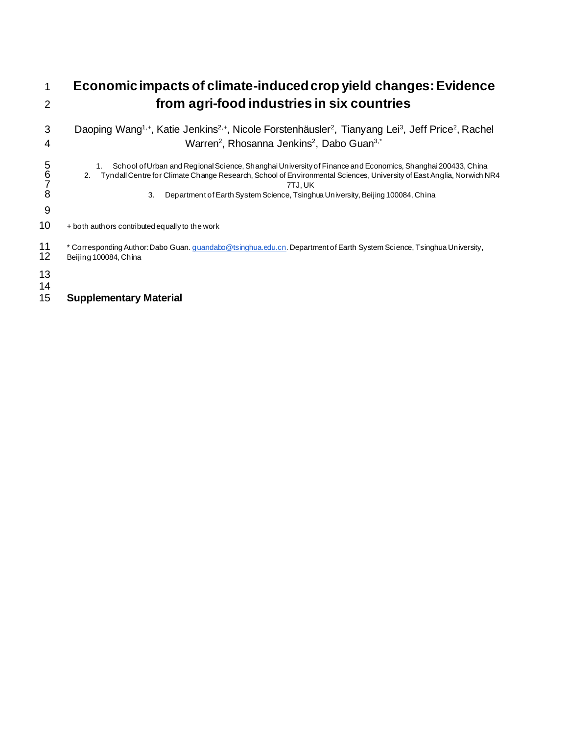## 1 **Economic impacts of climate-induced crop yield changes: Evidence**  2 **from agri-food industries in six countries** 3 Daoping Wang<sup>1,+</sup>, Katie Jenkins<sup>2,+</sup>, Nicole Forstenhäusler<sup>2</sup>, Tianyang Lei<sup>3</sup>, Jeff Price<sup>2</sup>, Rachel 4 Marren<sup>2</sup>, Rhosanna Jenkins<sup>2</sup>, Dabo Guan<sup>3,\*</sup> 1. School of Urban and Regional Science, Shanghai University of Finance and Economics, Shanghai 200433, China<br>6 2. Tyndall Centre for Climate Change Research, School of Environmental Sciences, University of East Anglia, No 6 2. Tyndall Centre for Climate Change Research, School of Environmental Sciences, University of East Anglia, Norwich NR4 **7** 7TJ, UK 8 3. Department of Earth System Science, Tsinghua University, Beijing 100084, China 9  $10$  + both authors contributed equally to the work <sup>11</sup> \* Corresponding Author: Dabo Guan. *guandabo@tsinghua.edu.cn*. Department of Earth System Science, Tsinghua University,<br>12 Beijing 100084, China Beijing 100084, China 13 14<br>15 15 **Supplementary Material**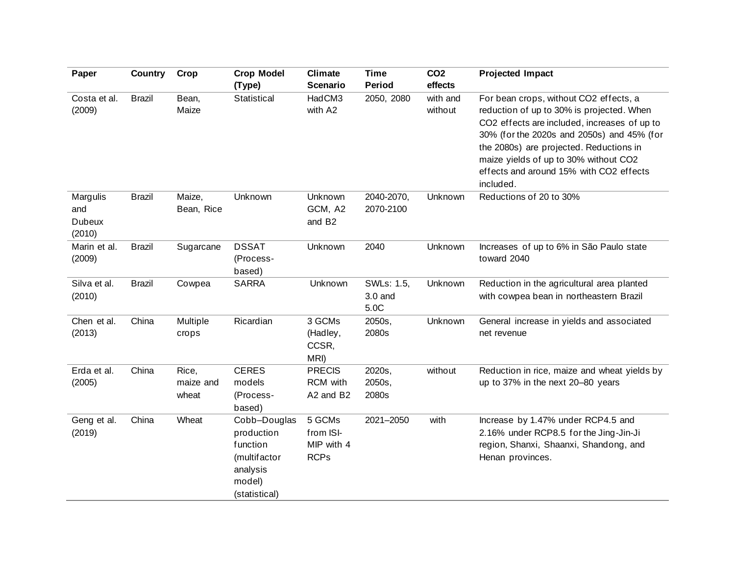| Paper                                      | <b>Country</b> | Crop                        | <b>Crop Model</b><br>(Type)                                                                   | <b>Climate</b><br><b>Scenario</b>                | <b>Time</b><br><b>Period</b>    | CO <sub>2</sub><br>effects | <b>Projected Impact</b>                                                                                                                                                                                                                                                                                                       |
|--------------------------------------------|----------------|-----------------------------|-----------------------------------------------------------------------------------------------|--------------------------------------------------|---------------------------------|----------------------------|-------------------------------------------------------------------------------------------------------------------------------------------------------------------------------------------------------------------------------------------------------------------------------------------------------------------------------|
| Costa et al.<br>(2009)                     | <b>Brazil</b>  | Bean,<br>Maize              | Statistical                                                                                   | HadCM3<br>with A2                                | 2050, 2080                      | with and<br>without        | For bean crops, without CO2 effects, a<br>reduction of up to 30% is projected. When<br>CO2 effects are included, increases of up to<br>30% (for the 2020s and 2050s) and 45% (for<br>the 2080s) are projected. Reductions in<br>maize yields of up to 30% without CO2<br>effects and around 15% with CO2 effects<br>included. |
| Margulis<br>and<br><b>Dubeux</b><br>(2010) | <b>Brazil</b>  | Maize,<br>Bean, Rice        | Unknown                                                                                       | Unknown<br>GCM, A2<br>and B <sub>2</sub>         | 2040-2070,<br>2070-2100         | Unknown                    | Reductions of 20 to 30%                                                                                                                                                                                                                                                                                                       |
| Marin et al.<br>(2009)                     | <b>Brazil</b>  | Sugarcane                   | <b>DSSAT</b><br>(Process-<br>based)                                                           | Unknown                                          | 2040                            | Unknown                    | Increases of up to 6% in São Paulo state<br>toward 2040                                                                                                                                                                                                                                                                       |
| Silva et al.<br>(2010)                     | <b>Brazil</b>  | Cowpea                      | <b>SARRA</b>                                                                                  | Unknown                                          | SWLs: 1.5,<br>$3.0$ and<br>5.0C | Unknown                    | Reduction in the agricultural area planted<br>with cowpea bean in northeastern Brazil                                                                                                                                                                                                                                         |
| Chen et al.<br>(2013)                      | China          | Multiple<br>crops           | Ricardian                                                                                     | 3 GCMs<br>(Hadley,<br>CCSR,<br>MRI)              | 2050s,<br>2080s                 | Unknown                    | General increase in yields and associated<br>net revenue                                                                                                                                                                                                                                                                      |
| Erda et al.<br>(2005)                      | China          | Rice,<br>maize and<br>wheat | <b>CERES</b><br>models<br>(Process-<br>based)                                                 | <b>PRECIS</b><br>RCM with<br>A2 and B2           | 2020s,<br>2050s,<br>2080s       | without                    | Reduction in rice, maize and wheat yields by<br>up to 37% in the next 20-80 years                                                                                                                                                                                                                                             |
| Geng et al.<br>(2019)                      | China          | Wheat                       | Cobb-Douglas<br>production<br>function<br>(multifactor<br>analysis<br>model)<br>(statistical) | 5 GCMs<br>from ISI-<br>MIP with 4<br><b>RCPs</b> | 2021-2050                       | with                       | Increase by 1.47% under RCP4.5 and<br>2.16% under RCP8.5 for the Jing-Jin-Ji<br>region, Shanxi, Shaanxi, Shandong, and<br>Henan provinces.                                                                                                                                                                                    |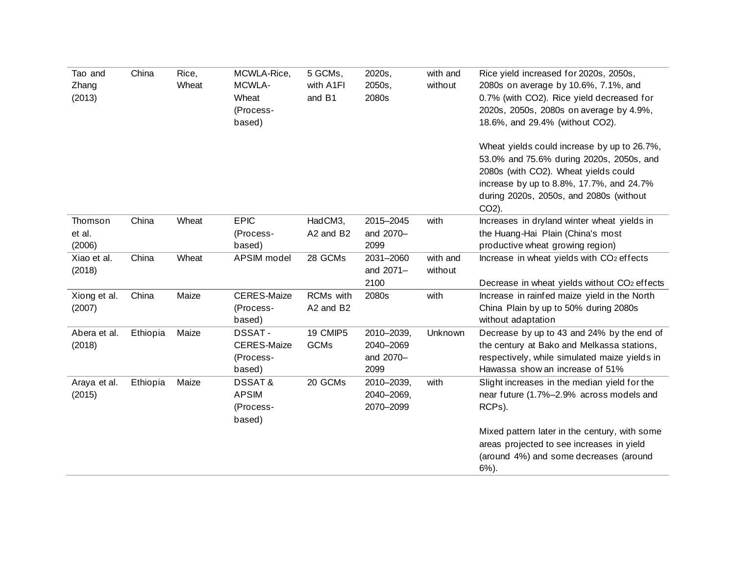|          |       |                                                          |                        |                                              |                     | Wheat yields could increase by up to 26.7%,<br>53.0% and 75.6% during 2020s, 2050s, and<br>2080s (with CO2). Wheat yields could<br>increase by up to 8.8%, 17.7%, and 24.7%<br>during 2020s, 2050s, and 2080s (without<br>CO <sub>2</sub> ). |
|----------|-------|----------------------------------------------------------|------------------------|----------------------------------------------|---------------------|----------------------------------------------------------------------------------------------------------------------------------------------------------------------------------------------------------------------------------------------|
| China    | Wheat | <b>EPIC</b><br>(Process-<br>based)                       | HadCM3,<br>A2 and B2   | 2015-2045<br>and 2070-<br>2099               | with                | Increases in dryland winter wheat yields in<br>the Huang-Hai Plain (China's most<br>productive wheat growing region)                                                                                                                         |
| China    | Wheat | APSIM model                                              | 28 GCMs                | 2031-2060<br>and 2071-<br>2100               | with and<br>without | Increase in wheat yields with CO <sub>2</sub> effects<br>Decrease in wheat yields without CO <sub>2</sub> effects                                                                                                                            |
| China    | Maize | <b>CERES-Maize</b><br>(Process-<br>based)                | RCMs with<br>A2 and B2 | 2080s                                        | with                | Increase in rainfed maize yield in the North<br>China Plain by up to 50% during 2080s<br>without adaptation                                                                                                                                  |
| Ethiopia | Maize | DSSAT-<br><b>CERES-Maize</b><br>(Process-<br>based)      | 19 CMIP5<br>GCMs       | 2010-2039,<br>2040-2069<br>and 2070-<br>2099 | Unknown             | Decrease by up to 43 and 24% by the end of<br>the century at Bako and Melkassa stations,<br>respectively, while simulated maize yields in<br>Hawassa show an increase of 51%                                                                 |
| Ethiopia | Maize | <b>DSSAT&amp;</b><br><b>APSIM</b><br>(Process-<br>based) | 20 GCMs                | 2010-2039,<br>2040-2069,<br>2070-2099        | with                | Slight increases in the median yield for the<br>near future (1.7%-2.9% across models and<br>RCPs).<br>Mixed pattern later in the century, with some<br>areas projected to see increases in yield<br>(around 4%) and some decreases (around   |
|          |       |                                                          |                        |                                              |                     |                                                                                                                                                                                                                                              |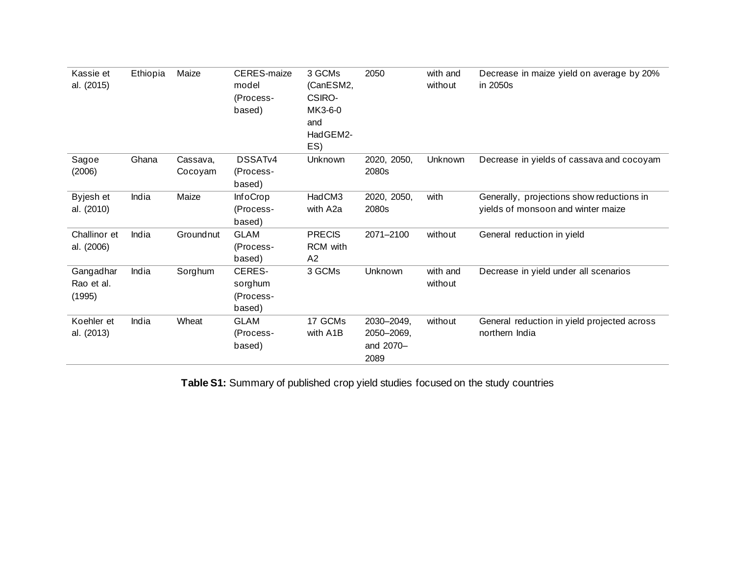| Kassie et<br>al. (2015)           | Ethiopia | Maize               | CERES-maize<br>model<br>(Process-<br>based) | 3 GCMs<br>(CanESM2,<br>CSIRO-<br>MK3-6-0<br>and<br>HadGEM2-<br>ES) | 2050                                          | with and<br>without | Decrease in maize yield on average by 20%<br>in 2050s                           |
|-----------------------------------|----------|---------------------|---------------------------------------------|--------------------------------------------------------------------|-----------------------------------------------|---------------------|---------------------------------------------------------------------------------|
| Sagoe<br>(2006)                   | Ghana    | Cassava,<br>Cocoyam | DSSAT <sub>v4</sub><br>(Process-<br>based)  | Unknown                                                            | 2020, 2050,<br>2080s                          | Unknown             | Decrease in yields of cassava and cocoyam                                       |
| Byjesh et<br>al. (2010)           | India    | Maize               | <b>InfoCrop</b><br>(Process-<br>based)      | HadCM3<br>with A2a                                                 | 2020, 2050,<br>2080s                          | with                | Generally, projections show reductions in<br>yields of monsoon and winter maize |
| Challinor et<br>al. (2006)        | India    | Groundnut           | <b>GLAM</b><br>(Process-<br>based)          | <b>PRECIS</b><br>RCM with<br>A2                                    | 2071-2100                                     | without             | General reduction in yield                                                      |
| Gangadhar<br>Rao et al.<br>(1995) | India    | Sorghum             | CERES-<br>sorghum<br>(Process-<br>based)    | 3 GCMs                                                             | Unknown                                       | with and<br>without | Decrease in yield under all scenarios                                           |
| Koehler et<br>al. (2013)          | India    | Wheat               | <b>GLAM</b><br>(Process-<br>based)          | 17 GCMs<br>with A1B                                                | 2030-2049,<br>2050-2069,<br>and 2070-<br>2089 | without             | General reduction in yield projected across<br>northern India                   |

**Table S1:** Summary of published crop yield studies focused on the study countries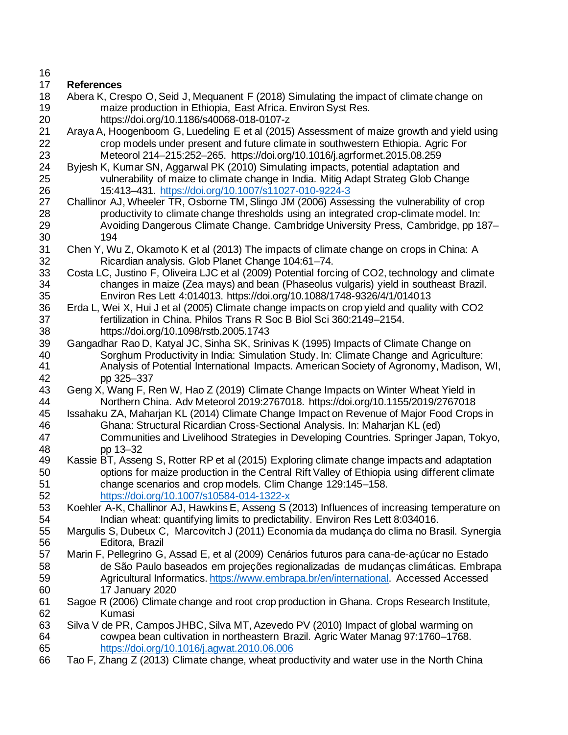## **References**

- Abera K, Crespo O, Seid J, Mequanent F (2018) Simulating the impact of climate change on maize production in Ethiopia, East Africa. Environ Syst Res. https://doi.org/10.1186/s40068-018-0107-z
- 21 Araya A, Hoogenboom G, Luedeling E et al (2015) Assessment of maize growth and yield using<br>22 crop models under present and future climate in southwestern Ethiopia. Agric For crop models under present and future climate in southwestern Ethiopia. Agric For Meteorol 214–215:252–265. https://doi.org/10.1016/j.agrformet.2015.08.259
- 24 Byjesh K, Kumar SN, Aggarwal PK (2010) Simulating impacts, potential adaptation and<br>25 vulnerability of maize to climate change in India. Mitig Adapt Strateg Glob Chang 25 vulnerability of maize to climate change in India. Mitig Adapt Strateg Glob Change<br>26 15:413–431. https://doi.org/10.1007/s11027-010-9224-3 26 15:413–431.<https://doi.org/10.1007/s11027-010-9224-3><br>27 Challinor AJ, Wheeler TR, Osborne TM, Slingo JM (2006) Asse
- Challinor AJ, Wheeler TR, Osborne TM, Slingo JM (2006) Assessing the vulnerability of crop productivity to climate change thresholds using an integrated crop-climate model. In: Avoiding Dangerous Climate Change. Cambridge University Press, Cambridge, pp 187– 194
- Chen Y, Wu Z, Okamoto K et al (2013) The impacts of climate change on crops in China: A Ricardian analysis. Glob Planet Change 104:61–74.
- 33 Costa LC, Justino F, Oliveira LJC et al (2009) Potential forcing of CO2, technology and climate<br>34 changes in maize (Zea mays) and bean (Phaseolus vulgaris) vield in southeast Brazil. changes in maize (Zea mays) and bean (Phaseolus vulgaris) yield in southeast Brazil. Environ Res Lett 4:014013. https://doi.org/10.1088/1748-9326/4/1/014013
- Erda L, Wei X, Hui J et al (2005) Climate change impacts on crop yield and quality with CO2 fertilization in China. Philos Trans R Soc B Biol Sci 360:2149–2154. https://doi.org/10.1098/rstb.2005.1743
- Gangadhar Rao D, Katyal JC, Sinha SK, Srinivas K (1995) Impacts of Climate Change on Sorghum Productivity in India: Simulation Study. In: Climate Change and Agriculture: Analysis of Potential International Impacts. American Society of Agronomy, Madison, WI, pp 325–337
- Geng X, Wang F, Ren W, Hao Z (2019) Climate Change Impacts on Winter Wheat Yield in Northern China. Adv Meteorol 2019:2767018. https://doi.org/10.1155/2019/2767018
- Issahaku ZA, Maharjan KL (2014) Climate Change Impact on Revenue of Major Food Crops in Ghana: Structural Ricardian Cross-Sectional Analysis. In: Maharjan KL (ed)
- Communities and Livelihood Strategies in Developing Countries. Springer Japan, Tokyo, pp 13–32
- Kassie BT, Asseng S, Rotter RP et al (2015) Exploring climate change impacts and adaptation options for maize production in the Central Rift Valley of Ethiopia using different climate change scenarios and crop models. Clim Change 129:145–158. <https://doi.org/10.1007/s10584-014-1322-x>
- Koehler A-K, Challinor AJ, Hawkins E, Asseng S (2013) Influences of increasing temperature on Indian wheat: quantifying limits to predictability. Environ Res Lett 8:034016.
- Margulis S, Dubeux C, [Marcovitch](https://www.amazon.com.br/s/ref=dp_byline_sr_book_3?ie=UTF8&field-author=Jacques+Marcovitch&search-alias=books) J (2011) Economia da mudança do clima no Brasil. Synergia Editora, Brazil
- Marin F, Pellegrino G, Assad E, et al (2009) Cenários futuros para cana-de-açúcar no Estado de São Paulo baseados em projeções regionalizadas de mudanças climáticas[. Embrapa](https://www.embrapa.br/en/busca-de-publicacoes?p_auth=YruV045Q&p_p_id=buscapublicacao_WAR_pcebusca6_1portlet&p_p_lifecycle=1&p_p_state=normal&p_p_mode=view&p_p_col_id=column-1&p_p_col_count=3&_buscapublicacao_WAR_pcebusca6_1portlet_unidadesSelecionadas=39&_buscapublicacao_WAR_pcebusca6_1portlet_javax.portlet.action=buscarPublicacoes)  [Agricultural Informatics.](https://www.embrapa.br/en/busca-de-publicacoes?p_auth=YruV045Q&p_p_id=buscapublicacao_WAR_pcebusca6_1portlet&p_p_lifecycle=1&p_p_state=normal&p_p_mode=view&p_p_col_id=column-1&p_p_col_count=3&_buscapublicacao_WAR_pcebusca6_1portlet_unidadesSelecionadas=39&_buscapublicacao_WAR_pcebusca6_1portlet_javax.portlet.action=buscarPublicacoes) [https://www.embrapa.br/en/international.](https://www.embrapa.br/en/international) Accessed Accessed 17 January 2020
- Sagoe R (2006) Climate change and root crop production in Ghana. Crops Research Institute, Kumasi
- Silva V de PR, Campos JHBC, Silva MT, Azevedo PV (2010) Impact of global warming on cowpea bean cultivation in northeastern Brazil. Agric Water Manag 97:1760–1768. <https://doi.org/10.1016/j.agwat.2010.06.006>
- Tao F, Zhang Z (2013) Climate change, wheat productivity and water use in the North China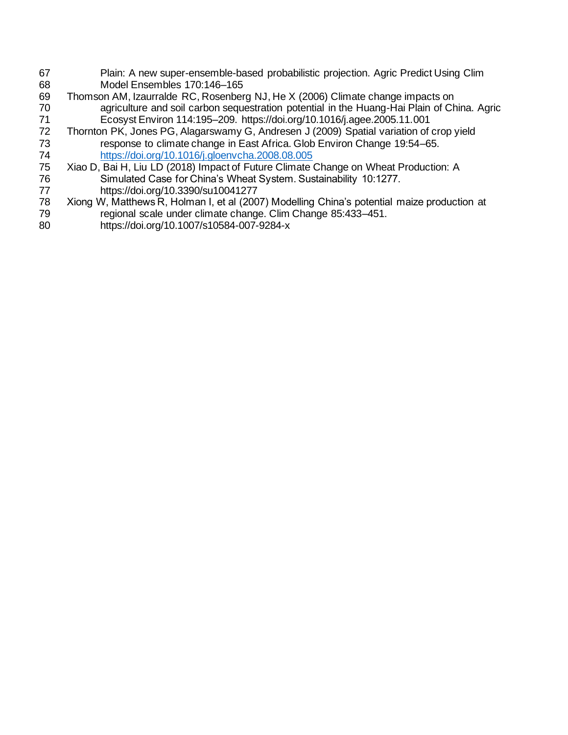- 67 Plain: A new super-ensemble-based probabilistic projection. Agric Predict Using Clim 68 Model Ensembles 170:146–165
- 69 Thomson AM, Izaurralde RC, Rosenberg NJ, He X (2006) Climate change impacts on 70 agriculture and soil carbon sequestration potential in the Huang-Hai Plain of China. Agric 71 Ecosyst Environ 114:195–209. https://doi.org/10.1016/j.agee.2005.11.001
- 72 Thornton PK, Jones PG, Alagarswamy G, Andresen J (2009) Spatial variation of crop yield<br>73 response to climate change in East Africa. Glob Environ Change 19:54–65. response to climate change in East Africa. Glob Environ Change 19:54–65. 74 <https://doi.org/10.1016/j.gloenvcha.2008.08.005><br>75 Xiao D, Bai H, Liu LD (2018) Impact of Future Climate
- 75 Xiao D, Bai H, Liu LD (2018) Impact of Future Climate Change on Wheat Production: A<br>76 Simulated Case for China's Wheat System. Sustainability 10:1277. 76 Simulated Case for China's Wheat System. Sustainability 10:1277.<br>77 https://doi.org/10.3390/su10041277
- 77 https://doi.org/10.3390/su10041277<br>78 Xiong W, Matthews R, Holman I, et al (200 Xiong W, Matthews R, Holman I, et al (2007) Modelling China's potential maize production at 79 regional scale under climate change. Clim Change 85:433-451.<br>80 https://doi.org/10.1007/s10584-007-9284-x
- 80 https://doi.org/10.1007/s10584-007-9284-x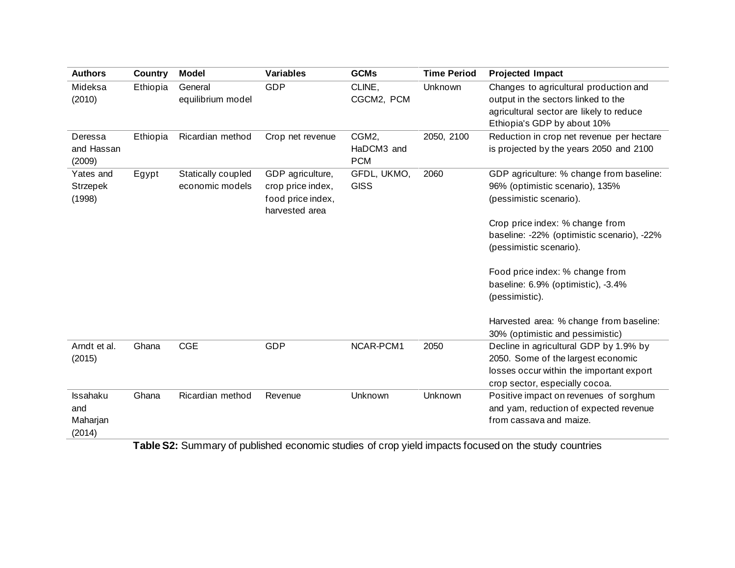| <b>Authors</b>                        | <b>Country</b> | Model                                 | <b>Variables</b>                                                             | <b>GCMs</b>                       | <b>Time Period</b> | <b>Projected Impact</b>                                                                                                                                                                                            |
|---------------------------------------|----------------|---------------------------------------|------------------------------------------------------------------------------|-----------------------------------|--------------------|--------------------------------------------------------------------------------------------------------------------------------------------------------------------------------------------------------------------|
| Mideksa<br>(2010)                     | Ethiopia       | General<br>equilibrium model          | <b>GDP</b>                                                                   | CLINE,<br>CGCM2, PCM              | Unknown            | Changes to agricultural production and<br>output in the sectors linked to the<br>agricultural sector are likely to reduce<br>Ethiopia's GDP by about 10%                                                           |
| Deressa<br>and Hassan<br>(2009)       | Ethiopia       | Ricardian method                      | Crop net revenue                                                             | CGM2,<br>HaDCM3 and<br><b>PCM</b> | 2050, 2100         | Reduction in crop net revenue per hectare<br>is projected by the years 2050 and 2100                                                                                                                               |
| Yates and<br>Strzepek<br>(1998)       | Egypt          | Statically coupled<br>economic models | GDP agriculture,<br>crop price index,<br>food price index,<br>harvested area | GFDL, UKMO,<br><b>GISS</b>        | 2060               | GDP agriculture: % change from baseline:<br>96% (optimistic scenario), 135%<br>(pessimistic scenario).<br>Crop price index: % change from<br>baseline: -22% (optimistic scenario), -22%<br>(pessimistic scenario). |
|                                       |                |                                       |                                                                              |                                   |                    | Food price index: % change from<br>baseline: 6.9% (optimistic), -3.4%<br>(pessimistic).<br>Harvested area: % change from baseline:<br>30% (optimistic and pessimistic)                                             |
| Arndt et al.<br>(2015)                | Ghana          | <b>CGE</b>                            | <b>GDP</b>                                                                   | NCAR-PCM1                         | 2050               | Decline in agricultural GDP by 1.9% by<br>2050. Some of the largest economic<br>losses occur within the important export<br>crop sector, especially cocoa.                                                         |
| Issahaku<br>and<br>Maharjan<br>(2014) | Ghana          | Ricardian method                      | Revenue                                                                      | Unknown                           | Unknown            | Positive impact on revenues of sorghum<br>and yam, reduction of expected revenue<br>from cassava and maize.                                                                                                        |

**Table S2:** Summary of published economic studies of crop yield impacts focused on the study countries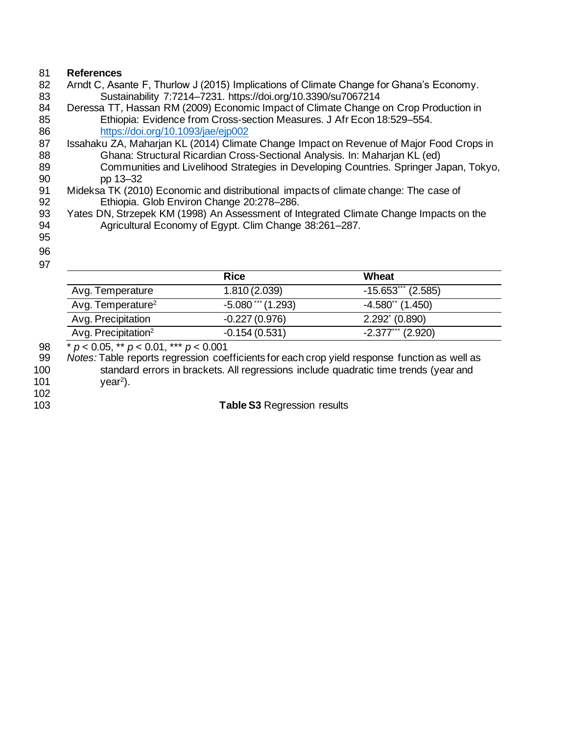## 81 **References**

- 82 Arndt C, Asante F, Thurlow J (2015) Implications of Climate Change for Ghana's Economy.
- 83 Sustainability 7:7214–7231. https://doi.org/10.3390/su7067214<br>84 Deressa TT, Hassan RM (2009) Economic Impact of Climate Change Deressa TT, Hassan RM (2009) Economic Impact of Climate Change on Crop Production in 85 Ethiopia: Evidence from Cross-section Measures. J Afr Econ 18:529–554.
- 86 <https://doi.org/10.1093/jae/ejp002><br>87 Issahaku ZA, Maharjan KL (2014) Climat Issahaku ZA, Maharjan KL (2014) Climate Change Impact on Revenue of Major Food Crops in 88 Ghana: Structural Ricardian Cross-Sectional Analysis. In: Maharjan KL (ed) 89 Communities and Livelihood Strategies in Developing Countries. Springer Japan, Tokyo,
- 90 pp 13–32<br>91 Mideksa TK (201) 91 Mideksa TK (2010) Economic and distributional impacts of climate change: The case of Spanish Patitiopia. Glob Environ Change 20:278–286. Ethiopia. Glob Environ Change 20:278–286.
- 93 Yates DN, Strzepek KM (1998) An Assessment of Integrated Climate Change Impacts on the 94 Agricultural Economy of Egypt. Clim Change 38:261–287.
- 95
- 96 97

|                                 | <b>Rice</b>          | Wheat                   |
|---------------------------------|----------------------|-------------------------|
| Avg. Temperature                | 1.810(2.039)         | $-15.653$ (2.585)       |
| Avg. Temperature <sup>2</sup>   | $-5.080$ *** (1.293) | $-4.580$ " (1.450)      |
| Avg. Precipitation              | $-0.227(0.976)$      | $2.292^{\circ}$ (0.890) |
| Avg. Precipitation <sup>2</sup> | $-0.154(0.531)$      | $-2.377***$ (2.920)     |

 \* *p* < 0.05, \*\* *p* < 0.01, \*\*\* *p* < 0.001 *Notes:* Table reports regression coefficients for each crop yield response function as well as standard errors in brackets. All regressions include quadratic time trends (year and  $year<sup>2</sup>$ ).

102

103 **Table S3** Regression results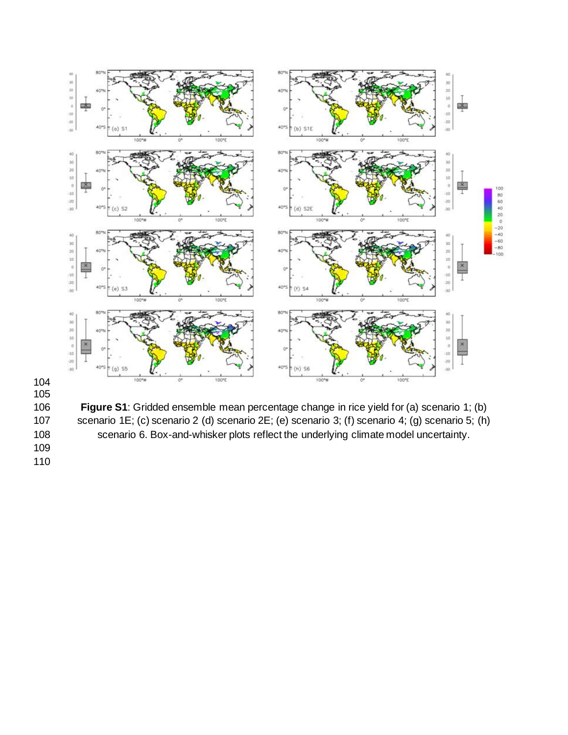



 **Figure S1**: Gridded ensemble mean percentage change in rice yield for (a) scenario 1; (b) scenario 1E; (c) scenario 2 (d) scenario 2E; (e) scenario 3; (f) scenario 4; (g) scenario 5; (h) scenario 6. Box-and-whisker plots reflect the underlying climate model uncertainty.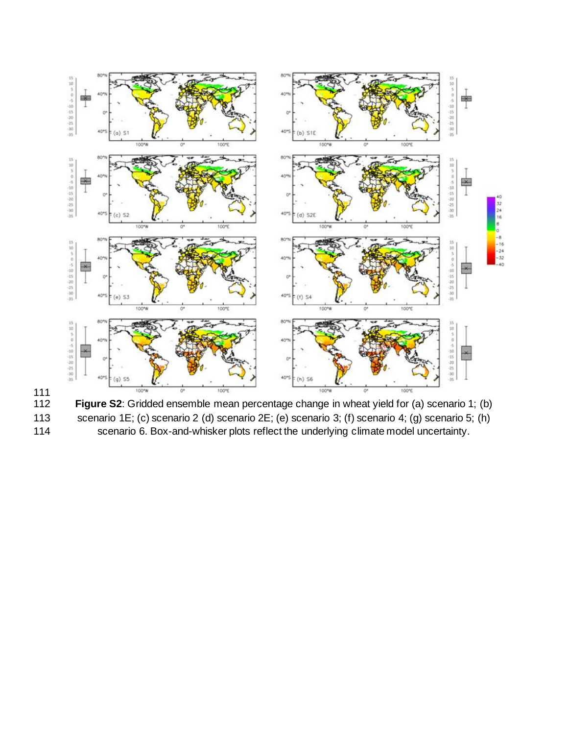

111

- Figure S2: Gridded ensemble mean percentage change in wheat yield for (a) scenario 1; (b)
- 113 scenario 1E; (c) scenario 2 (d) scenario 2E; (e) scenario 3; (f) scenario 4; (g) scenario 5; (h)<br>114 scenario 6. Box-and-whisker plots reflect the underlying climate model uncertainty.

scenario 6. Box-and-whisker plots reflect the underlying climate model uncertainty.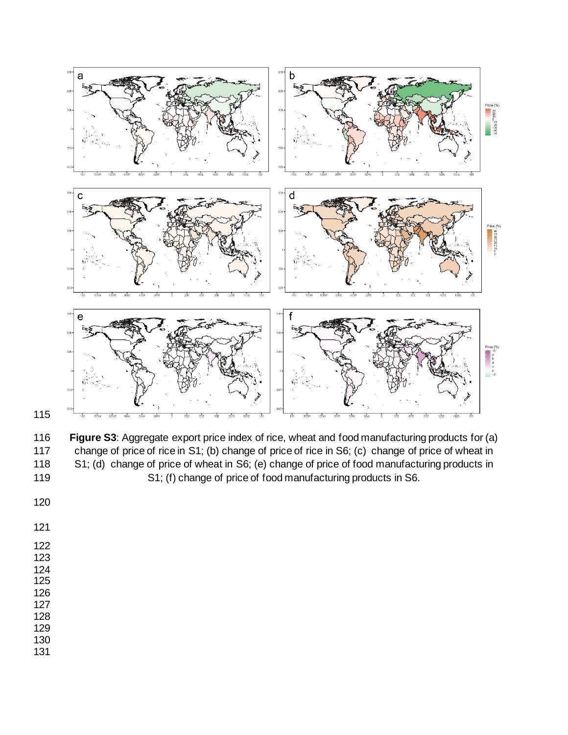

 **Figure S3**: Aggregate export price index of rice, wheat and food manufacturing products for (a) change of price of rice in S1; (b) change of price of rice in S6; (c) change of price of wheat in S1; (d) change of price of wheat in S6; (e) change of price of food manufacturing products in S1; (f) change of price of food manufacturing products in S6.

- 
- 
- 
- 
- 
- 
- 
- 
- 
- 
-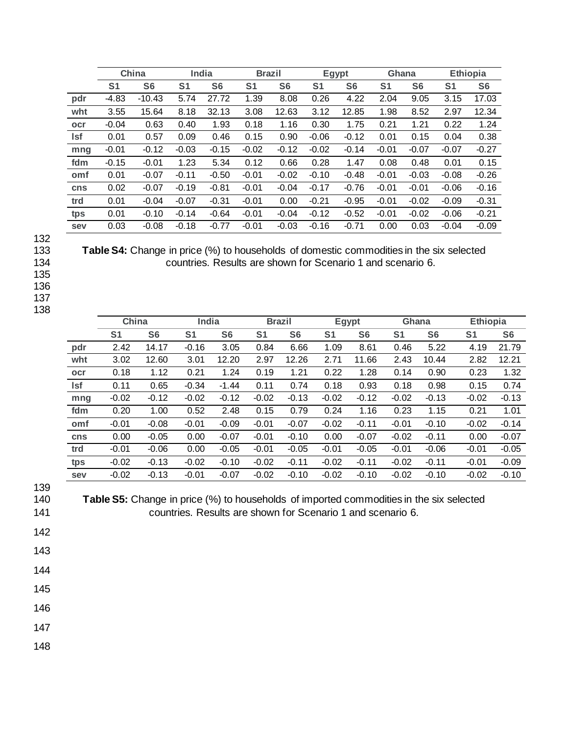|            | China          |                | India          |                |                | <b>Brazil</b>  |                | Egypt          |                | Ghana          | <b>Ethiopia</b> |                |
|------------|----------------|----------------|----------------|----------------|----------------|----------------|----------------|----------------|----------------|----------------|-----------------|----------------|
|            | S <sub>1</sub> | S <sub>6</sub> | S <sub>1</sub> | S <sub>6</sub> | S <sub>1</sub> | S <sub>6</sub> | S <sub>1</sub> | S <sub>6</sub> | S <sub>1</sub> | S <sub>6</sub> | S <sub>1</sub>  | S <sub>6</sub> |
| pdr        | $-4.83$        | $-10.43$       | 5.74           | 27.72          | 1.39           | 8.08           | 0.26           | 4.22           | 2.04           | 9.05           | 3.15            | 17.03          |
| wht        | 3.55           | 15.64          | 8.18           | 32.13          | 3.08           | 12.63          | 3.12           | 12.85          | 1.98           | 8.52           | 2.97            | 12.34          |
| ocr        | $-0.04$        | 0.63           | 0.40           | 1.93           | 0.18           | 1.16           | 0.30           | 1.75           | 0.21           | 1.21           | 0.22            | 1.24           |
| <b>Isf</b> | 0.01           | 0.57           | 0.09           | 0.46           | 0.15           | 0.90           | $-0.06$        | $-0.12$        | 0.01           | 0.15           | 0.04            | 0.38           |
| mng        | $-0.01$        | $-0.12$        | $-0.03$        | $-0.15$        | $-0.02$        | $-0.12$        | $-0.02$        | $-0.14$        | $-0.01$        | $-0.07$        | $-0.07$         | $-0.27$        |
| fdm        | $-0.15$        | $-0.01$        | 1.23           | 5.34           | 0.12           | 0.66           | 0.28           | 1.47           | 0.08           | 0.48           | 0.01            | 0.15           |
| omf        | 0.01           | $-0.07$        | $-0.11$        | $-0.50$        | $-0.01$        | $-0.02$        | $-0.10$        | $-0.48$        | $-0.01$        | $-0.03$        | $-0.08$         | $-0.26$        |
| <b>cns</b> | 0.02           | $-0.07$        | $-0.19$        | $-0.81$        | $-0.01$        | $-0.04$        | $-0.17$        | $-0.76$        | $-0.01$        | $-0.01$        | $-0.06$         | $-0.16$        |
| trd        | 0.01           | $-0.04$        | $-0.07$        | $-0.31$        | $-0.01$        | 0.00           | $-0.21$        | $-0.95$        | $-0.01$        | $-0.02$        | $-0.09$         | $-0.31$        |
| tps        | 0.01           | $-0.10$        | $-0.14$        | $-0.64$        | $-0.01$        | $-0.04$        | $-0.12$        | $-0.52$        | $-0.01$        | $-0.02$        | $-0.06$         | $-0.21$        |
| sev        | 0.03           | $-0.08$        | $-0.18$        | $-0.77$        | $-0.01$        | $-0.03$        | $-0.16$        | $-0.71$        | 0.00           | 0.03           | $-0.04$         | $-0.09$        |

132<br>133

**Table S4:** Change in price (%) to households of domestic commodities in the six selected<br>countries. Results are shown for Scenario 1 and scenario 6.

135

136

137

138

|            | China          |                | India          |                | <b>Brazil</b>  |                | <b>Egypt</b>   |                | Ghana          |                | <b>Ethiopia</b> |                |
|------------|----------------|----------------|----------------|----------------|----------------|----------------|----------------|----------------|----------------|----------------|-----------------|----------------|
|            | S <sub>1</sub> | S <sub>6</sub> | S <sub>1</sub> | S <sub>6</sub> | S <sub>1</sub> | S <sub>6</sub> | S <sub>1</sub> | S <sub>6</sub> | S <sub>1</sub> | S <sub>6</sub> | S <sub>1</sub>  | S <sub>6</sub> |
| pdr        | 2.42           | 14.17          | $-0.16$        | 3.05           | 0.84           | 6.66           | 1.09           | 8.61           | 0.46           | 5.22           | 4.19            | 21.79          |
| wht        | 3.02           | 12.60          | 3.01           | 12.20          | 2.97           | 12.26          | 2.71           | 11.66          | 2.43           | 10.44          | 2.82            | 12.21          |
| ocr        | 0.18           | 1.12           | 0.21           | 1.24           | 0.19           | 1.21           | 0.22           | 1.28           | 0.14           | 0.90           | 0.23            | 1.32           |
| <b>Isf</b> | 0.11           | 0.65           | $-0.34$        | $-1.44$        | 0.11           | 0.74           | 0.18           | 0.93           | 0.18           | 0.98           | 0.15            | 0.74           |
| mng        | $-0.02$        | $-0.12$        | $-0.02$        | $-0.12$        | $-0.02$        | $-0.13$        | $-0.02$        | $-0.12$        | $-0.02$        | $-0.13$        | $-0.02$         | $-0.13$        |
| fdm        | 0.20           | 1.00           | 0.52           | 2.48           | 0.15           | 0.79           | 0.24           | 1.16           | 0.23           | 1.15           | 0.21            | 1.01           |
| omf        | $-0.01$        | $-0.08$        | $-0.01$        | $-0.09$        | $-0.01$        | $-0.07$        | $-0.02$        | $-0.11$        | $-0.01$        | $-0.10$        | $-0.02$         | $-0.14$        |
| cns        | 0.00           | $-0.05$        | 0.00           | $-0.07$        | $-0.01$        | $-0.10$        | 0.00           | $-0.07$        | $-0.02$        | $-0.11$        | 0.00            | $-0.07$        |
| trd        | $-0.01$        | $-0.06$        | 0.00           | $-0.05$        | $-0.01$        | $-0.05$        | $-0.01$        | $-0.05$        | $-0.01$        | $-0.06$        | $-0.01$         | $-0.05$        |
| tps        | $-0.02$        | $-0.13$        | $-0.02$        | $-0.10$        | $-0.02$        | $-0.11$        | $-0.02$        | $-0.11$        | $-0.02$        | $-0.11$        | $-0.01$         | $-0.09$        |
| sev        | $-0.02$        | $-0.13$        | $-0.01$        | $-0.07$        | $-0.02$        | $-0.10$        | $-0.02$        | $-0.10$        | $-0.02$        | $-0.10$        | $-0.02$         | $-0.10$        |

134 countries. Results are shown for Scenario 1 and scenario 6.

139

140 **Table S5:** Change in price (%) to households of imported commodities in the six selected 141 countries. Results are shown for Scenario 1 and scenario 6.

142

143

144

145

146

147

148